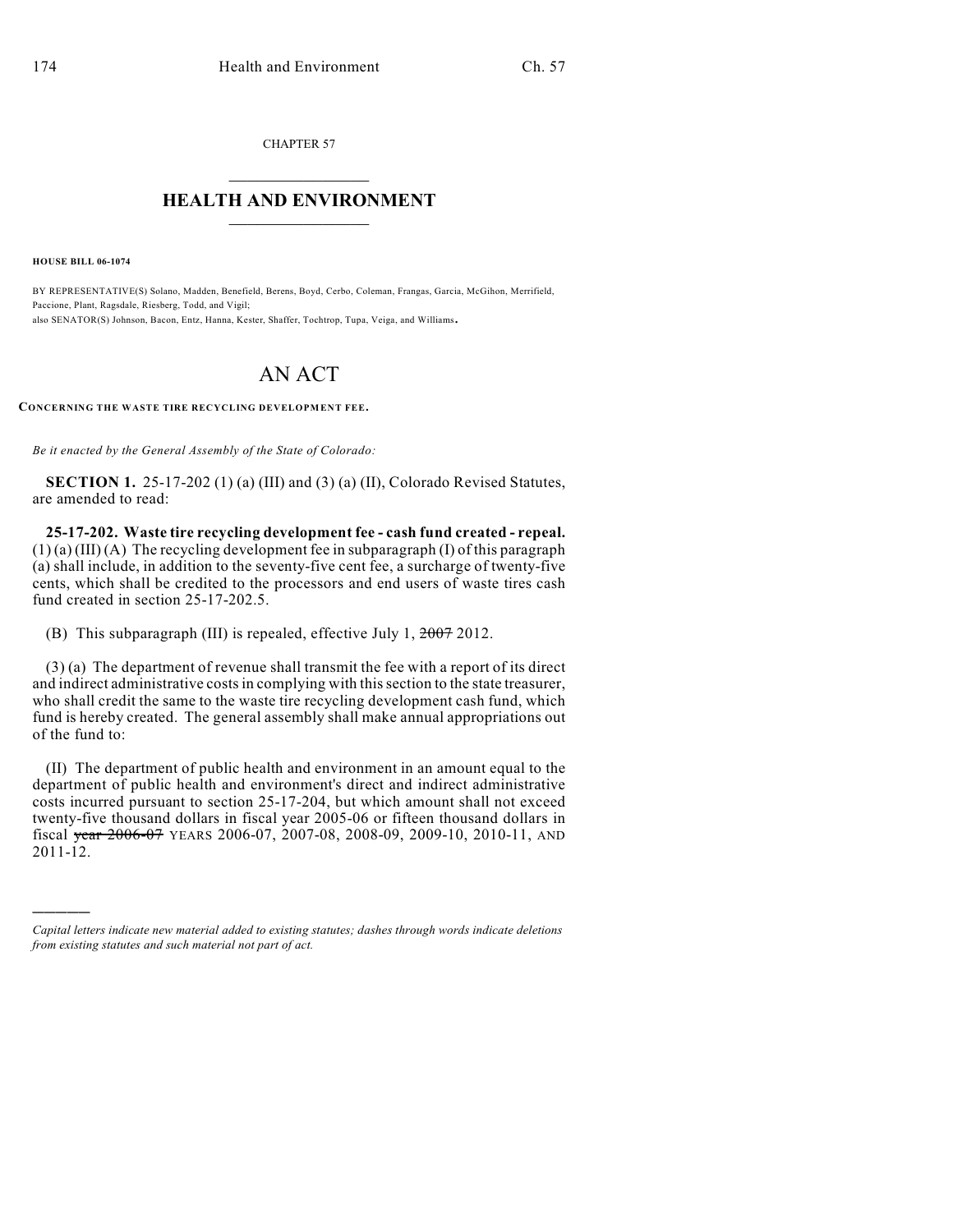CHAPTER 57  $\overline{\phantom{a}}$  . The set of the set of the set of the set of the set of the set of the set of the set of the set of the set of the set of the set of the set of the set of the set of the set of the set of the set of the set o

## **HEALTH AND ENVIRONMENT**  $\_$

**HOUSE BILL 06-1074**

)))))

BY REPRESENTATIVE(S) Solano, Madden, Benefield, Berens, Boyd, Cerbo, Coleman, Frangas, Garcia, McGihon, Merrifield, Paccione, Plant, Ragsdale, Riesberg, Todd, and Vigil; also SENATOR(S) Johnson, Bacon, Entz, Hanna, Kester, Shaffer, Tochtrop, Tupa, Veiga, and Williams.

## AN ACT

**CONCERNING THE WASTE TIRE RECYCLING DEVELOPMENT FEE.**

*Be it enacted by the General Assembly of the State of Colorado:*

**SECTION 1.** 25-17-202 (1) (a) (III) and (3) (a) (II), Colorado Revised Statutes, are amended to read:

**25-17-202. Waste tire recycling development fee - cash fund created - repeal.**  $(1)$  (a) (III) (A) The recycling development fee in subparagraph (I) of this paragraph (a) shall include, in addition to the seventy-five cent fee, a surcharge of twenty-five cents, which shall be credited to the processors and end users of waste tires cash fund created in section 25-17-202.5.

(B) This subparagraph (III) is repealed, effective July 1, 2007 2012.

(3) (a) The department of revenue shall transmit the fee with a report of its direct and indirect administrative costs in complying with this section to the state treasurer, who shall credit the same to the waste tire recycling development cash fund, which fund is hereby created. The general assembly shall make annual appropriations out of the fund to:

(II) The department of public health and environment in an amount equal to the department of public health and environment's direct and indirect administrative costs incurred pursuant to section 25-17-204, but which amount shall not exceed twenty-five thousand dollars in fiscal year 2005-06 or fifteen thousand dollars in fiscal year 2006-07 YEARS 2006-07, 2007-08, 2008-09, 2009-10, 2010-11, AND 2011-12.

*Capital letters indicate new material added to existing statutes; dashes through words indicate deletions from existing statutes and such material not part of act.*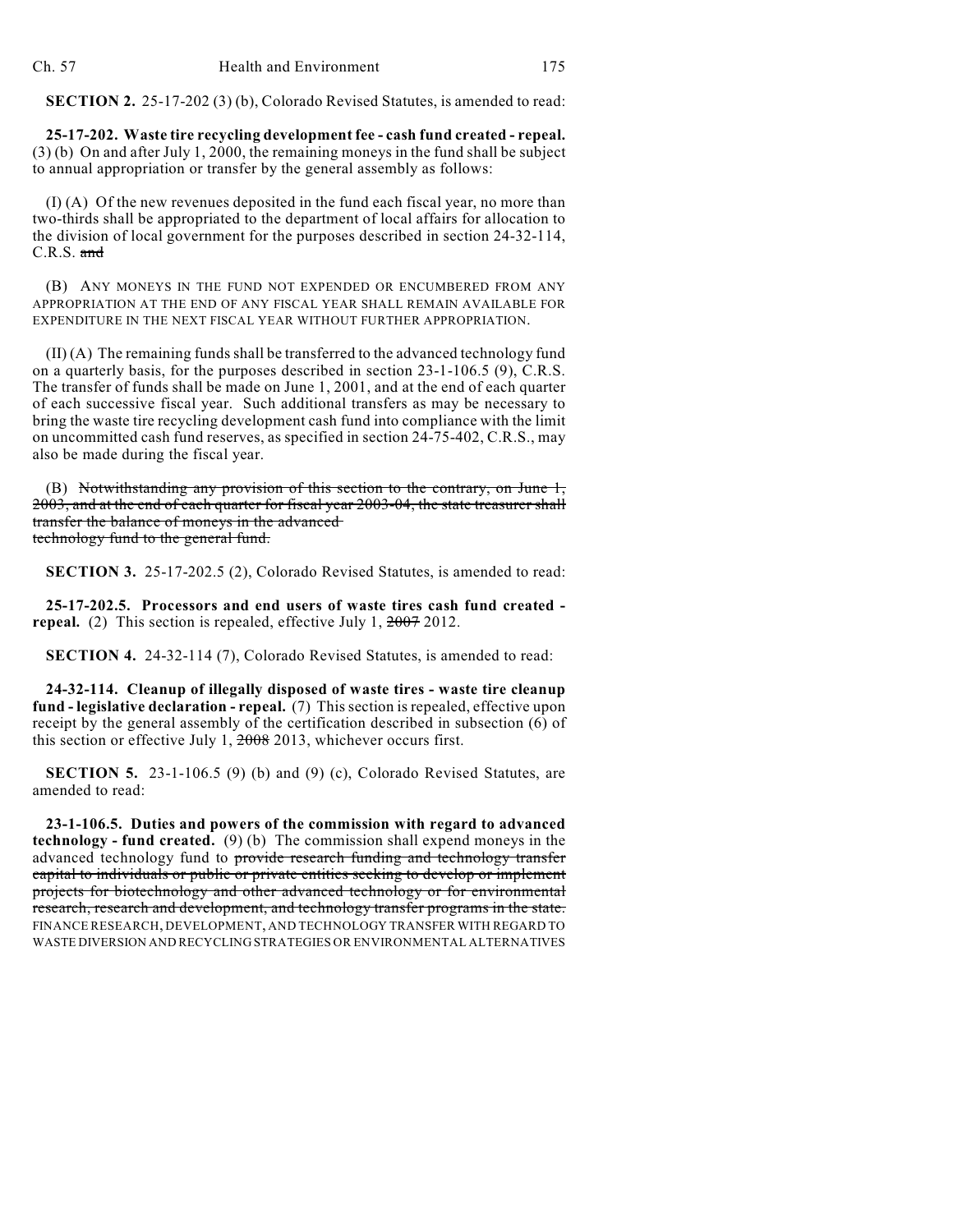**SECTION 2.** 25-17-202 (3) (b), Colorado Revised Statutes, is amended to read:

**25-17-202. Waste tire recycling development fee - cash fund created - repeal.** (3) (b) On and after July 1, 2000, the remaining moneys in the fund shall be subject to annual appropriation or transfer by the general assembly as follows:

(I) (A) Of the new revenues deposited in the fund each fiscal year, no more than two-thirds shall be appropriated to the department of local affairs for allocation to the division of local government for the purposes described in section 24-32-114, C.R.S. and

(B) ANY MONEYS IN THE FUND NOT EXPENDED OR ENCUMBERED FROM ANY APPROPRIATION AT THE END OF ANY FISCAL YEAR SHALL REMAIN AVAILABLE FOR EXPENDITURE IN THE NEXT FISCAL YEAR WITHOUT FURTHER APPROPRIATION.

(II) (A) The remaining funds shall be transferred to the advanced technology fund on a quarterly basis, for the purposes described in section 23-1-106.5 (9), C.R.S. The transfer of funds shall be made on June 1, 2001, and at the end of each quarter of each successive fiscal year. Such additional transfers as may be necessary to bring the waste tire recycling development cash fund into compliance with the limit on uncommitted cash fund reserves, as specified in section 24-75-402, C.R.S., may also be made during the fiscal year.

(B) Notwithstanding any provision of this section to the contrary, on June 1, 2003, and at the end of each quarter for fiscal year 2003-04, the state treasurer shall transfer the balance of moneys in the advanced technology fund to the general fund.

**SECTION 3.** 25-17-202.5 (2), Colorado Revised Statutes, is amended to read:

**25-17-202.5. Processors and end users of waste tires cash fund created repeal.** (2) This section is repealed, effective July 1,  $\frac{2007}{2012}$ .

**SECTION 4.** 24-32-114 (7), Colorado Revised Statutes, is amended to read:

**24-32-114. Cleanup of illegally disposed of waste tires - waste tire cleanup fund - legislative declaration - repeal.** (7) This section is repealed, effective upon receipt by the general assembly of the certification described in subsection (6) of this section or effective July 1, 2008 2013, whichever occurs first.

**SECTION 5.** 23-1-106.5 (9) (b) and (9) (c), Colorado Revised Statutes, are amended to read:

**23-1-106.5. Duties and powers of the commission with regard to advanced technology - fund created.** (9) (b) The commission shall expend moneys in the advanced technology fund to provide research funding and technology transfer capital to individuals or public or private entities seeking to develop or implement projects for biotechnology and other advanced technology or for environmental research, research and development, and technology transfer programs in the state. FINANCE RESEARCH, DEVELOPMENT, AND TECHNOLOGY TRANSFER WITH REGARD TO WASTE DIVERSION AND RECYCLING STRATEGIES OR ENVIRONMENTAL ALTERNATIVES